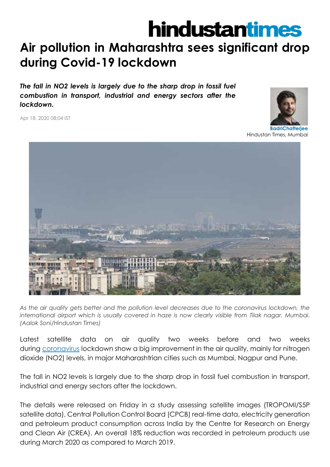## **hindustantimes**

## **Air pollution in Maharashtra sees significant drop during Covid-19 lockdown**

*The fall in NO2 levels is largely due to the sharp drop in fossil fuel combustion in transport, industrial and energy sectors after the lockdown.*

Apr 18, 2020 08:04 IST



Hindustan Times, Mumbai



*As the air quality gets better and the pollution level decreases due to the coronavirus lockdown, the international airport which is usually covered in haze is now clearly visible from Tilak nagar, Mumbai. (Aalok Soni/Hindustan Times)*

Latest satellite data on air quality two weeks before and two weeks during [coronavirus](https://www.hindustantimes.com/india-news/covid-19-outbreak-at-least-20-indian-navy-personnel-test-positive-for-coronavirus/story-9zFtU4xynEj3Yf2NqVyCRI.html) lockdown show a big improvement in the air quality, mainly for nitrogen dioxide (NO2) levels, in major Maharashtrian cities such as Mumbai, Nagpur and Pune.

The fall in NO2 levels is largely due to the sharp drop in fossil fuel combustion in transport, industrial and energy sectors after the lockdown.

The details were released on Friday in a study assessing satellite images (TROPOMI/S5P satellite data), Central Pollution Control Board (CPCB) real-time data, electricity generation and petroleum product consumption across India by the Centre for Research on Energy and Clean Air (CREA). An overall 18% reduction was recorded in petroleum products use during March 2020 as compared to March 2019.